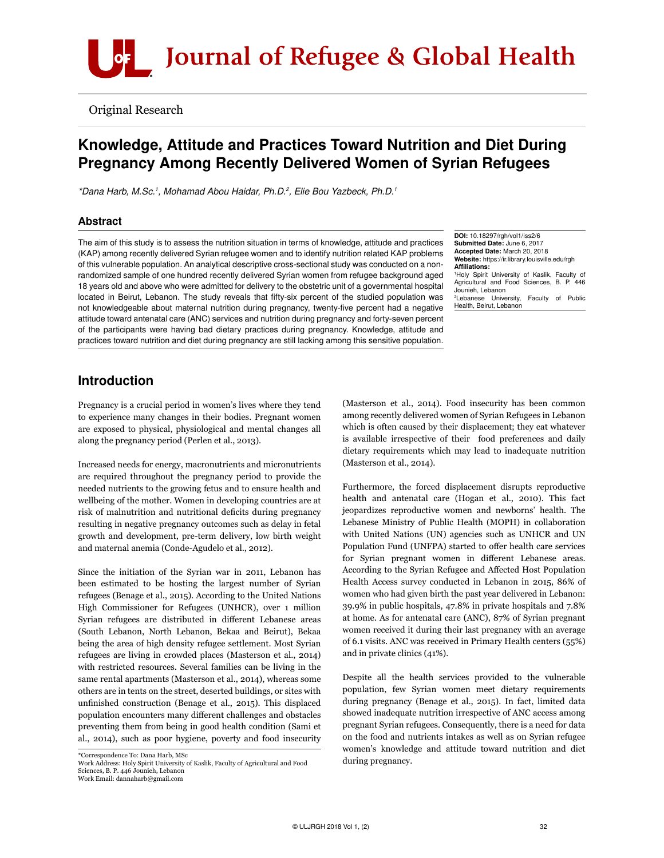

Original Research

# Knowledge, Attitude and Practices Toward Nutrition and Diet During Pregnancy Among Recently Delivered Women of Syrian Refugees

*\*Dana Harb, M.Sc.1 , Mohamad Abou Haidar, Ph.D.2 , Elie Bou Yazbeck, Ph.D.1*

### Abstract

The aim of this study is to assess the nutrition situation in terms of knowledge, attitude and practices (KAP) among recently delivered Syrian refugee women and to identify nutrition related KAP problems of this vulnerable population. An analytical descriptive cross-sectional study was conducted on a nonrandomized sample of one hundred recently delivered Syrian women from refugee background aged 18 years old and above who were admitted for delivery to the obstetric unit of a governmental hospital located in Beirut, Lebanon. The study reveals that fifty-six percent of the studied population was not knowledgeable about maternal nutrition during pregnancy, twenty-five percent had a negative attitude toward antenatal care (ANC) services and nutrition during pregnancy and forty-seven percent of the participants were having bad dietary practices during pregnancy. Knowledge, attitude and practices toward nutrition and diet during pregnancy are still lacking among this sensitive population.

DOI: 10.18297/rgh/vol1/iss2/6 Submitted Date: June 6, 2017 Accepted Date: March 20, 2018 Website: https://ir.library.louisville.edu/rgh Affiliations: 1 Holy Spirit University of Kaslik, Faculty of Agricultural and Food Sciences, B. P. 446 Jounieh, Lebanon 2 Lebanese University, Faculty of Public Health, Beirut, Lebanon

## Introduction

Pregnancy is a crucial period in women's lives where they tend to experience many changes in their bodies. Pregnant women are exposed to physical, physiological and mental changes all along the pregnancy period (Perlen et al., 2013).

Increased needs for energy, macronutrients and micronutrients are required throughout the pregnancy period to provide the needed nutrients to the growing fetus and to ensure health and wellbeing of the mother. Women in developing countries are at risk of malnutrition and nutritional deficits during pregnancy resulting in negative pregnancy outcomes such as delay in fetal growth and development, pre-term delivery, low birth weight and maternal anemia (Conde-Agudelo et al., 2012).

Since the initiation of the Syrian war in 2011, Lebanon has been estimated to be hosting the largest number of Syrian refugees (Benage et al., 2015). According to the United Nations High Commissioner for Refugees (UNHCR), over 1 million Syrian refugees are distributed in different Lebanese areas (South Lebanon, North Lebanon, Bekaa and Beirut), Bekaa being the area of high density refugee settlement. Most Syrian refugees are living in crowded places (Masterson et al., 2014) with restricted resources. Several families can be living in the same rental apartments (Masterson et al., 2014), whereas some others are in tents on the street, deserted buildings, or sites with unfinished construction (Benage et al., 2015). This displaced population encounters many different challenges and obstacles preventing them from being in good health condition (Sami et al., 2014), such as poor hygiene, poverty and food insecurity

\*Correspondence To: Dana Harb, MSc Work Address: Holy Spirit University of Kaslik, Faculty of Agricultural and Food Sciences, B. P. 446 Jounieh, Lebanon Work Email: dannaharb@gmail.com

(Masterson et al., 2014). Food insecurity has been common among recently delivered women of Syrian Refugees in Lebanon which is often caused by their displacement; they eat whatever is available irrespective of their food preferences and daily dietary requirements which may lead to inadequate nutrition (Masterson et al., 2014).

Furthermore, the forced displacement disrupts reproductive health and antenatal care (Hogan et al., 2010). This fact jeopardizes reproductive women and newborns' health. The Lebanese Ministry of Public Health (MOPH) in collaboration with United Nations (UN) agencies such as UNHCR and UN Population Fund (UNFPA) started to offer health care services for Syrian pregnant women in different Lebanese areas. According to the Syrian Refugee and Affected Host Population Health Access survey conducted in Lebanon in 2015, 86% of women who had given birth the past year delivered in Lebanon: 39.9% in public hospitals, 47.8% in private hospitals and 7.8% at home. As for antenatal care (ANC), 87% of Syrian pregnant women received it during their last pregnancy with an average of 6.1 visits. ANC was received in Primary Health centers (55%) and in private clinics (41%).

Despite all the health services provided to the vulnerable population, few Syrian women meet dietary requirements during pregnancy (Benage et al., 2015). In fact, limited data showed inadequate nutrition irrespective of ANC access among pregnant Syrian refugees. Consequently, there is a need for data on the food and nutrients intakes as well as on Syrian refugee women's knowledge and attitude toward nutrition and diet during pregnancy.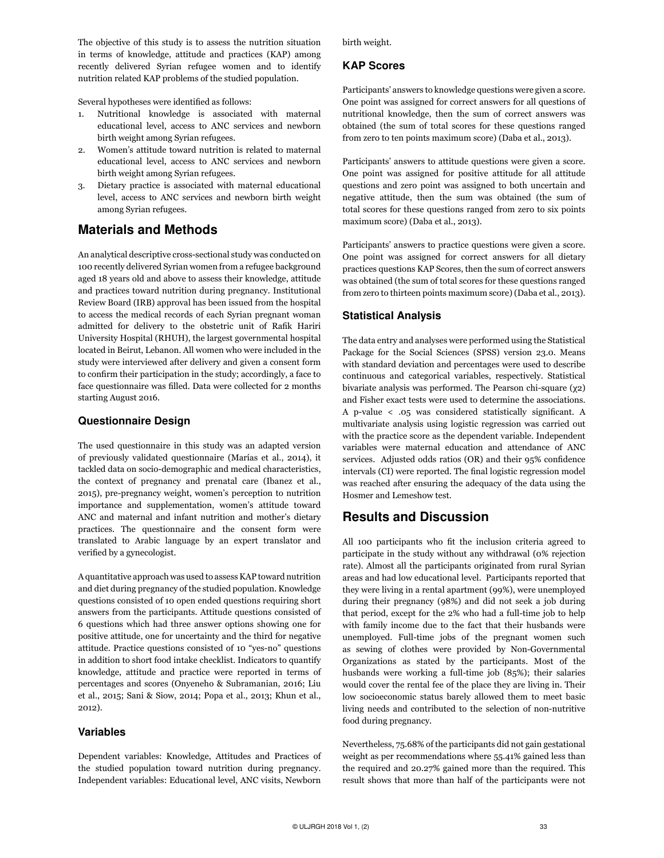The objective of this study is to assess the nutrition situation in terms of knowledge, attitude and practices (KAP) among recently delivered Syrian refugee women and to identify nutrition related KAP problems of the studied population.

Several hypotheses were identified as follows:

- 1. Nutritional knowledge is associated with maternal educational level, access to ANC services and newborn birth weight among Syrian refugees.
- 2. Women's attitude toward nutrition is related to maternal educational level, access to ANC services and newborn birth weight among Syrian refugees.
- 3. Dietary practice is associated with maternal educational level, access to ANC services and newborn birth weight among Syrian refugees.

## Materials and Methods

An analytical descriptive cross-sectional study was conducted on 100 recently delivered Syrian women from a refugee background aged 18 years old and above to assess their knowledge, attitude and practices toward nutrition during pregnancy. Institutional Review Board (IRB) approval has been issued from the hospital to access the medical records of each Syrian pregnant woman admitted for delivery to the obstetric unit of Rafik Hariri University Hospital (RHUH), the largest governmental hospital located in Beirut, Lebanon. All women who were included in the study were interviewed after delivery and given a consent form to confirm their participation in the study; accordingly, a face to face questionnaire was filled. Data were collected for 2 months starting August 2016.

### Questionnaire Design

The used questionnaire in this study was an adapted version of previously validated questionnaire (Marías et al., 2014), it tackled data on socio-demographic and medical characteristics, the context of pregnancy and prenatal care (Ibanez et al., 2015), pre-pregnancy weight, women's perception to nutrition importance and supplementation, women's attitude toward ANC and maternal and infant nutrition and mother's dietary practices. The questionnaire and the consent form were translated to Arabic language by an expert translator and verified by a gynecologist.

A quantitative approach was used to assess KAP toward nutrition and diet during pregnancy of the studied population. Knowledge questions consisted of 10 open ended questions requiring short answers from the participants. Attitude questions consisted of 6 questions which had three answer options showing one for positive attitude, one for uncertainty and the third for negative attitude. Practice questions consisted of 10 "yes-no" questions in addition to short food intake checklist. Indicators to quantify knowledge, attitude and practice were reported in terms of percentages and scores (Onyeneho & Subramanian, 2016; Liu et al., 2015; Sani & Siow, 2014; Popa et al., 2013; Khun et al., 2012).

### Variables

Dependent variables: Knowledge, Attitudes and Practices of the studied population toward nutrition during pregnancy. Independent variables: Educational level, ANC visits, Newborn birth weight.

### KAP Scores

Participants' answers to knowledge questions were given a score. One point was assigned for correct answers for all questions of nutritional knowledge, then the sum of correct answers was obtained (the sum of total scores for these questions ranged from zero to ten points maximum score) (Daba et al., 2013).

Participants' answers to attitude questions were given a score. One point was assigned for positive attitude for all attitude questions and zero point was assigned to both uncertain and negative attitude, then the sum was obtained (the sum of total scores for these questions ranged from zero to six points maximum score) (Daba et al., 2013).

Participants' answers to practice questions were given a score. One point was assigned for correct answers for all dietary practices questions KAP Scores, then the sum of correct answers was obtained (the sum of total scores for these questions ranged from zero to thirteen points maximum score) (Daba et al., 2013).

### Statistical Analysis

The data entry and analyses were performed using the Statistical Package for the Social Sciences (SPSS) version 23.0. Means with standard deviation and percentages were used to describe continuous and categorical variables, respectively. Statistical bivariate analysis was performed. The Pearson chi-square (χ2) and Fisher exact tests were used to determine the associations. A p-value < .05 was considered statistically significant. A multivariate analysis using logistic regression was carried out with the practice score as the dependent variable. Independent variables were maternal education and attendance of ANC services. Adjusted odds ratios (OR) and their 95% confidence intervals (CI) were reported. The final logistic regression model was reached after ensuring the adequacy of the data using the Hosmer and Lemeshow test.

## Results and Discussion

All 100 participants who fit the inclusion criteria agreed to participate in the study without any withdrawal (0% rejection rate). Almost all the participants originated from rural Syrian areas and had low educational level. Participants reported that they were living in a rental apartment (99%), were unemployed during their pregnancy (98%) and did not seek a job during that period, except for the 2% who had a full-time job to help with family income due to the fact that their husbands were unemployed. Full-time jobs of the pregnant women such as sewing of clothes were provided by Non-Governmental Organizations as stated by the participants. Most of the husbands were working a full-time job (85%); their salaries would cover the rental fee of the place they are living in. Their low socioeconomic status barely allowed them to meet basic living needs and contributed to the selection of non-nutritive food during pregnancy.

Nevertheless, 75.68% of the participants did not gain gestational weight as per recommendations where 55.41% gained less than the required and 20.27% gained more than the required. This result shows that more than half of the participants were not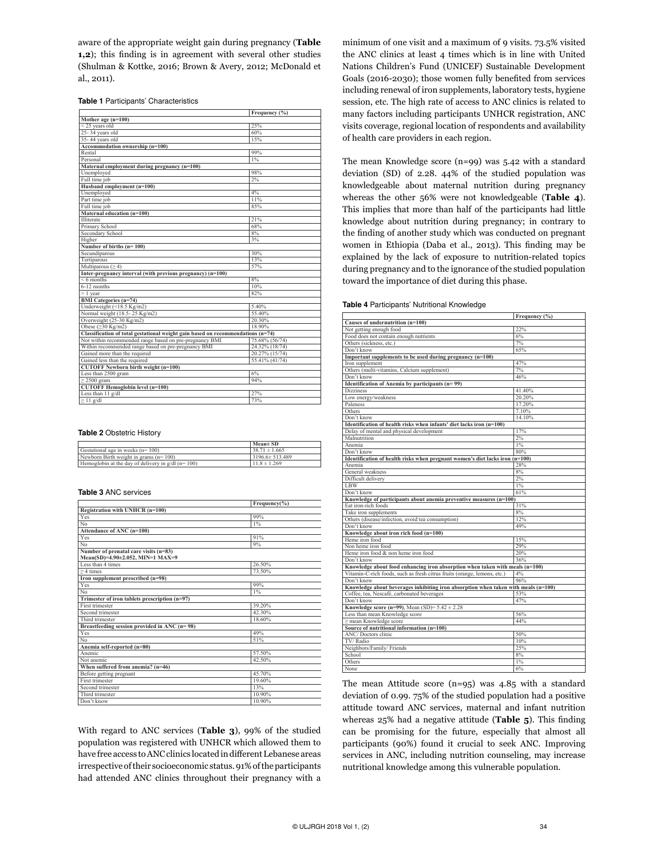aware of the appropriate weight gain during pregnancy (**Table 1,2**); this finding is in agreement with several other studies (Shulman & Kottke, 2016; Brown & Avery, 2012; McDonald et al., 2011).

#### Table 1 Participants' Characteristics

|                                                                                 | Frequency (%)  |  |
|---------------------------------------------------------------------------------|----------------|--|
| Mother age $(n=100)$                                                            |                |  |
| <25 years old                                                                   | 25%            |  |
| 25-34 vears old                                                                 | 60%            |  |
| 35-44 years old                                                                 | 15%            |  |
| Accommodation ownership (n=100)                                                 |                |  |
| Rental                                                                          | 99%            |  |
| Personal                                                                        | $1\%$          |  |
| Maternal employment during pregnancy (n=100)                                    |                |  |
| Unemployed                                                                      | 98%            |  |
| Full time job                                                                   | 2%             |  |
| Husband employment (n=100)                                                      |                |  |
| Unemployed                                                                      | 4%             |  |
| Part time job                                                                   | 11%            |  |
| Full time iob                                                                   | 85%            |  |
| Maternal education (n=100)                                                      |                |  |
| <b>Illiterate</b>                                                               | 21%            |  |
| Primary School                                                                  | 68%            |  |
| Secondary School                                                                | 8%             |  |
| Higher                                                                          | 3%             |  |
| Number of births $(n=100)$                                                      |                |  |
| Secundiparous                                                                   | 30%            |  |
| Tertiparous                                                                     | 13%            |  |
| Multiparous $(\geq 4)$                                                          | 57%            |  |
| Inter-pregnancy interval (with previous pregnancy) (n=100)                      |                |  |
| $< 6$ months                                                                    | 8%             |  |
| $6-12$ months                                                                   | 10%            |  |
| $\geq 1$ year                                                                   | 82%            |  |
| <b>BMI</b> Categories (n=74)                                                    |                |  |
| Underweight (<18.5 Kg/m2)                                                       | 5.40%          |  |
| Normal weight (18.5-25 Kg/m2)                                                   | 55.40%         |  |
| Overweight (25-30 Kg/m2)                                                        | 20.30%         |  |
| Obese $(>30 \text{ Ke/m2})$                                                     | 18.90%         |  |
| Classification of total gestational weight gain based on recommendations (n=74) |                |  |
| Not within recommended range based on pre-pregnancy BMI                         | 75.68% (56/74) |  |
| Within recommended range based on pre-pregnancy BMI                             | 24.32% (18/74) |  |
| Gained more than the required                                                   | 20.27% (15/74) |  |
| Gained less than the required                                                   | 55.41% (41/74) |  |
| <b>CUTOFF Newborn birth weight (n=100)</b>                                      |                |  |
| Less than 2500 gram                                                             | 6%             |  |
| $\geq$ 2500 gram                                                                | 94%            |  |
| <b>CUTOFF Hemoglobin level (n=100)</b>                                          |                |  |
| Less than 11 g/dl                                                               | 27%            |  |
| $>11$ g/dl                                                                      | 73%            |  |

#### Table 2 Obstetric History

|                                                      | $Mean \pm SD$        |
|------------------------------------------------------|----------------------|
| Gestational age in weeks $(n=100)$                   | $38.71 \pm 1.665$    |
| Newborn Birth weight in grams $(n=100)$              | $3196.6 \pm 513.489$ |
| Hemoglobin at the day of delivery in $g/dl$ (n= 100) | $11.8 \pm 1.269$     |

#### Table 3 ANC services

|                                                | $Frequency(\%)$ |  |
|------------------------------------------------|-----------------|--|
| Registration with UNHCR (n=100)                |                 |  |
| Yes                                            | 99%             |  |
| No                                             | 1%              |  |
| Attendance of ANC (n=100)                      |                 |  |
| Yes                                            | 91%             |  |
| No                                             | 9%              |  |
| Number of prenatal care visits (n=83)          |                 |  |
| Mean(SD)=4.90±2.052, MIN=1 MAX=9               |                 |  |
| Less than 4 times                              | 26.50%          |  |
| $>4$ times                                     | 73.50%          |  |
| Iron supplement prescribed (n=98)              |                 |  |
| Yes                                            | 99%             |  |
| No                                             | $1\%$           |  |
| Trimester of iron tablets prescription (n=97)  |                 |  |
| First trimester                                | 39.20%          |  |
| Second trimester                               | 42.30%          |  |
| Third trimester                                | 18.60%          |  |
| Breastfeeding session provided in ANC $(n=98)$ |                 |  |
| Yes                                            | 49%             |  |
| No                                             | 51%             |  |
| Anemia self-reported (n=80)                    |                 |  |
| Anemic                                         | 57.50%          |  |
| Not anemic                                     | 42.50%          |  |
| When suffered from anemia? (n=46)              |                 |  |
| Before getting pregnant                        | 45.70%          |  |
| First trimester                                | 19.60%          |  |
| Second trimester                               | 13%             |  |
| Third trimester                                | 10.90%          |  |
| Don't know                                     | 10.90%          |  |

With regard to ANC services (**Table 3**), 99% of the studied population was registered with UNHCR which allowed them to have free access to ANC clinics located in different Lebanese areas irrespective of their socioeconomic status. 91% of the participants had attended ANC clinics throughout their pregnancy with a minimum of one visit and a maximum of 9 visits. 73.5% visited the ANC clinics at least 4 times which is in line with United Nations Children's Fund (UNICEF) Sustainable Development Goals (2016-2030); those women fully benefited from services including renewal of iron supplements, laboratory tests, hygiene session, etc. The high rate of access to ANC clinics is related to many factors including participants UNHCR registration, ANC visits coverage, regional location of respondents and availability of health care providers in each region.

The mean Knowledge score (n=99) was 5.42 with a standard deviation (SD) of 2.28. 44% of the studied population was knowledgeable about maternal nutrition during pregnancy whereas the other 56% were not knowledgeable (**Table 4**). This implies that more than half of the participants had little knowledge about nutrition during pregnancy; in contrary to the finding of another study which was conducted on pregnant women in Ethiopia (Daba et al., 2013). This finding may be explained by the lack of exposure to nutrition-related topics during pregnancy and to the ignorance of the studied population toward the importance of diet during this phase.

Table 4 Participants' Nutritional Knowledge

|                                                                                      | Frequency (%) |
|--------------------------------------------------------------------------------------|---------------|
| Causes of undernutrition (n=100)                                                     |               |
| Not getting enough food                                                              | 22%           |
| Food does not contain enough nutrients                                               | $6\%$         |
| Others (sickness, etc.)                                                              | 7%            |
| Don't know                                                                           | 65%           |
| Important supplements to be used during pregnancy (n=100)                            |               |
| Iron supplement                                                                      | 47%           |
| Others (multi-vitamins, Calcium supplement)                                          | 7%            |
| Don't know                                                                           | 46%           |
| Identification of Anemia by participants (n=99)                                      |               |
| <b>Dizziness</b>                                                                     | 41.40%        |
| Low energy/weakness                                                                  | 20.20%        |
| Paleness                                                                             | 17.20%        |
| Others                                                                               | 7.10%         |
| Don't know                                                                           | 14.10%        |
| Identification of health risks when infants' diet lacks iron (n=100)                 |               |
| Delay of mental and physical development                                             | 17%           |
| Malnutrition                                                                         | 2%            |
| Anemia                                                                               | 1%            |
| Don't know                                                                           | 80%           |
| Identification of health risks when pregnant women's diet lacks iron (n=100)         |               |
| Anemia                                                                               | 28%           |
| General weakness                                                                     | 8%            |
| Difficult delivery                                                                   | 2%            |
| <b>LBW</b>                                                                           | $1\%$         |
| Don't know                                                                           | 61%           |
| Knowledge of participants about anemia preventive measures (n=100)                   |               |
| Eat iron-rich foods                                                                  | 31%           |
| Take iron supplements                                                                | 8%            |
| Others (disease/infection, avoid tea consumption)                                    | 12%           |
| Don't know                                                                           | 49%           |
| Knowledge about iron rich food (n=100)                                               |               |
| Heme iron food                                                                       | 15%           |
| Non heme iron food                                                                   | 29%           |
| Heme iron food & non heme iron food                                                  | 20%           |
| Don't know                                                                           | 36%           |
| Knowledge about food enhancing iron absorption when taken with meals (n=100)         |               |
| Vitamin-C-rich foods, such as fresh citrus fruits (orange, lemons, etc.)             | 4%            |
| Don't know                                                                           | 96%           |
| Knowledge about beverages inhibiting iron absorption when taken with meals $(n=100)$ |               |
| Coffee, tea, Nescafé, carbonated beverages                                           | 53%           |
| Don't know                                                                           | 47%           |
| Knowledge score (n=99), Mean (SD)= $5.42 \pm 2.28$                                   |               |
| Less than mean Knowledge score                                                       | 56%           |
| > mean Knowledge score                                                               | 44%           |
| Source of nutritional information (n=100)                                            |               |
| ANC/ Doctors clinic                                                                  | 50%           |
| TV/Radio                                                                             | 10%           |
| Neighbors/Family/Friends                                                             | 25%           |
| School                                                                               | 8%            |
| Others                                                                               | 1%            |
| None                                                                                 | 6%            |

The mean Attitude score  $(n=95)$  was 4.85 with a standard deviation of 0.99. 75% of the studied population had a positive attitude toward ANC services, maternal and infant nutrition whereas 25% had a negative attitude (**Table 5**). This finding can be promising for the future, especially that almost all participants (90%) found it crucial to seek ANC. Improving services in ANC, including nutrition counseling, may increase nutritional knowledge among this vulnerable population.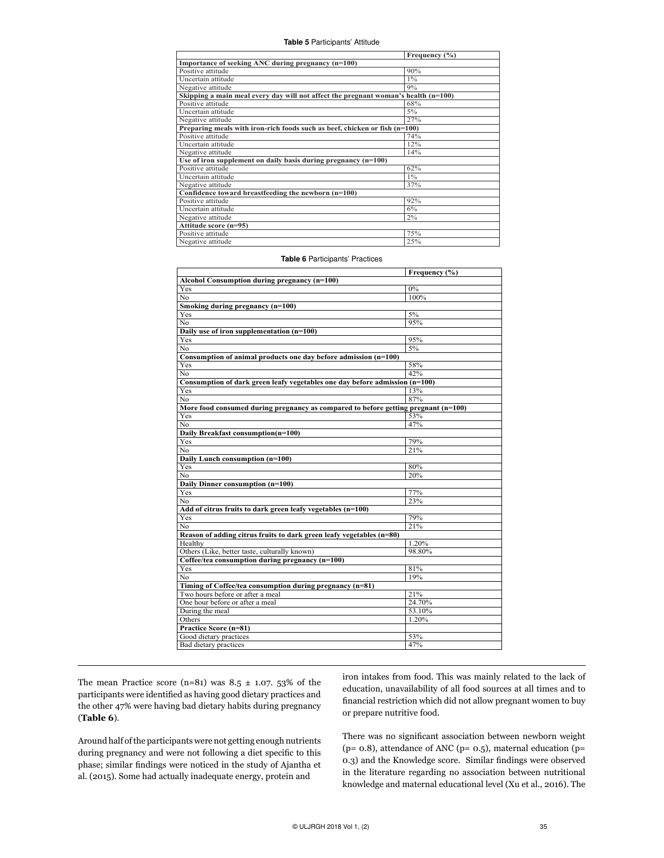#### Table 5 Participants' Attitude

|                                                                                      | Frequency (%) |  |
|--------------------------------------------------------------------------------------|---------------|--|
| Importance of seeking ANC during pregnancy (n=100)                                   |               |  |
| Positive attitude                                                                    | 90%           |  |
| Uncertain attitude                                                                   | $1\%$         |  |
| Negative attitude                                                                    | 9%            |  |
| Skipping a main meal every day will not affect the pregnant woman's health $(n=100)$ |               |  |
| Positive attitude                                                                    | 68%           |  |
| Uncertain attitude                                                                   | 5%            |  |
| Negative attitude                                                                    | 27%           |  |
| Preparing meals with iron-rich foods such as beef, chicken or fish (n=100)           |               |  |
| Positive attitude                                                                    | 74%           |  |
| Uncertain attitude                                                                   | 12%           |  |
| Negative attitude                                                                    | 14%           |  |
| Use of iron supplement on daily basis during pregnancy $(n=100)$                     |               |  |
| Positive attitude                                                                    | 62%           |  |
| Uncertain attitude                                                                   | $1\%$         |  |
| Negative attitude                                                                    | 37%           |  |
| Confidence toward breastfeeding the newborn (n=100)                                  |               |  |
| Positive attitude                                                                    | 92%           |  |
| Uncertain attitude                                                                   | 6%            |  |
| Negative attitude                                                                    | 2%            |  |
| Attitude score (n=95)                                                                |               |  |
| Positive attitude                                                                    | 75%           |  |
| Negative attitude                                                                    | 25%           |  |

|                                                                                      | Frequency (%) |
|--------------------------------------------------------------------------------------|---------------|
| Alcohol Consumption during pregnancy (n=100)                                         |               |
| Yes                                                                                  | 0%            |
| No                                                                                   | 100%          |
| Smoking during pregnancy (n=100)                                                     |               |
| Yes                                                                                  | 5%            |
| No                                                                                   | 95%           |
| Daily use of iron supplementation (n=100)                                            |               |
| Yes                                                                                  | 95%           |
| No                                                                                   | 5%            |
| Consumption of animal products one day before admission (n=100)                      |               |
| Yes                                                                                  | 58%           |
| No                                                                                   | 42%           |
| Consumption of dark green leafy vegetables one day before admission $(n=100)$        |               |
| Yes                                                                                  | 13%           |
| No                                                                                   | 87%           |
| More food consumed during pregnancy as compared to before getting pregnant $(n=100)$ |               |
| Yes                                                                                  | 53%           |
| No                                                                                   | 47%           |
| Daily Breakfast consumption(n=100)                                                   |               |
| Yes                                                                                  | 79%           |
| No                                                                                   | 21%           |
| Daily Lunch consumption (n=100)                                                      |               |
| Yes                                                                                  | 80%           |
| No                                                                                   | 20%           |
| Daily Dinner consumption (n=100)                                                     |               |
| Yes                                                                                  | 77%           |
| No                                                                                   | 23%           |
| Add of citrus fruits to dark green leafy vegetables (n=100)                          |               |
| Yes                                                                                  | 79%           |
| No                                                                                   | 21%           |
| Reason of adding citrus fruits to dark green leafy vegetables (n=80)                 |               |
| Healthy                                                                              | 1.20%         |
| Others (Like, better taste, culturally known)                                        | 98.80%        |
| Coffee/tea consumption during pregnancy (n=100)                                      |               |
| Yes                                                                                  | 81%           |
| No                                                                                   | 19%           |
| Timing of Coffee/tea consumption during pregnancy (n=81)                             |               |
| Two hours before or after a meal                                                     | 21%           |
| One hour before or after a meal                                                      | 24.70%        |
| During the meal                                                                      | 53.10%        |
| Others                                                                               | 1.20%         |
| Practice Score (n=81)                                                                |               |
| Good dietary practices                                                               | 53%           |
| Bad dietary practices                                                                | 47%           |
|                                                                                      |               |

#### Table 6 Participants' Practices

The mean Practice score (n=81) was  $8.5 \pm 1.07$ . 53% of the participants were identified as having good dietary practices and the other 47% were having bad dietary habits during pregnancy (**Table 6**).

Around half of the participants were not getting enough nutrients during pregnancy and were not following a diet specific to this phase; similar findings were noticed in the study of Ajantha et al. (2015). Some had actually inadequate energy, protein and

iron intakes from food. This was mainly related to the lack of education, unavailability of all food sources at all times and to financial restriction which did not allow pregnant women to buy or prepare nutritive food.

There was no significant association between newborn weight ( $p=$  0.8), attendance of ANC ( $p=$  0.5), maternal education ( $p=$ 0.3) and the Knowledge score. Similar findings were observed in the literature regarding no association between nutritional knowledge and maternal educational level (Xu et al., 2016). The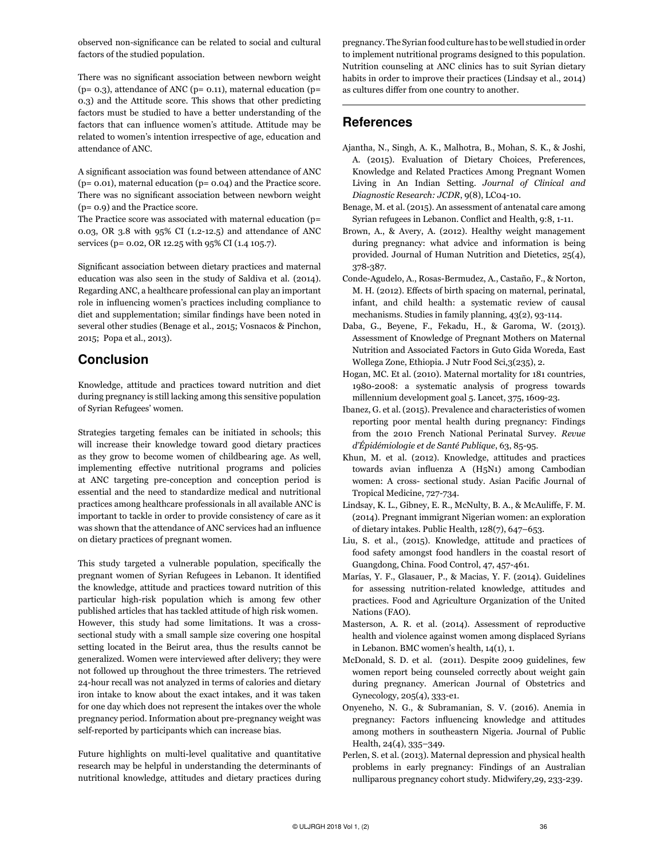observed non-significance can be related to social and cultural factors of the studied population.

There was no significant association between newborn weight ( $p= 0.3$ ), attendance of ANC ( $p= 0.11$ ), maternal education ( $p=$ 0.3) and the Attitude score. This shows that other predicting factors must be studied to have a better understanding of the factors that can influence women's attitude. Attitude may be related to women's intention irrespective of age, education and attendance of ANC.

A significant association was found between attendance of ANC  $(p= 0.01)$ , maternal education  $(p= 0.04)$  and the Practice score. There was no significant association between newborn weight (p= 0.9) and the Practice score.

The Practice score was associated with maternal education (p= 0.03, OR 3.8 with 95% CI (1.2-12.5) and attendance of ANC services (p= 0.02, OR 12.25 with 95% CI (1.4 105.7).

Significant association between dietary practices and maternal education was also seen in the study of Saldiva et al. (2014). Regarding ANC, a healthcare professional can play an important role in influencing women's practices including compliance to diet and supplementation; similar findings have been noted in several other studies (Benage et al., 2015; Vosnacos & Pinchon, 2015; Popa et al., 2013).

## Conclusion

Knowledge, attitude and practices toward nutrition and diet during pregnancy is still lacking among this sensitive population of Syrian Refugees' women.

Strategies targeting females can be initiated in schools; this will increase their knowledge toward good dietary practices as they grow to become women of childbearing age. As well, implementing effective nutritional programs and policies at ANC targeting pre-conception and conception period is essential and the need to standardize medical and nutritional practices among healthcare professionals in all available ANC is important to tackle in order to provide consistency of care as it was shown that the attendance of ANC services had an influence on dietary practices of pregnant women.

This study targeted a vulnerable population, specifically the pregnant women of Syrian Refugees in Lebanon. It identified the knowledge, attitude and practices toward nutrition of this particular high-risk population which is among few other published articles that has tackled attitude of high risk women. However, this study had some limitations. It was a crosssectional study with a small sample size covering one hospital setting located in the Beirut area, thus the results cannot be generalized. Women were interviewed after delivery; they were not followed up throughout the three trimesters. The retrieved 24-hour recall was not analyzed in terms of calories and dietary iron intake to know about the exact intakes, and it was taken for one day which does not represent the intakes over the whole pregnancy period. Information about pre-pregnancy weight was self-reported by participants which can increase bias.

Future highlights on multi-level qualitative and quantitative research may be helpful in understanding the determinants of nutritional knowledge, attitudes and dietary practices during pregnancy. The Syrian food culture has to be well studied in order to implement nutritional programs designed to this population. Nutrition counseling at ANC clinics has to suit Syrian dietary habits in order to improve their practices (Lindsay et al., 2014) as cultures differ from one country to another.

## References

- Ajantha, N., Singh, A. K., Malhotra, B., Mohan, S. K., & Joshi, A. (2015). Evaluation of Dietary Choices, Preferences, Knowledge and Related Practices Among Pregnant Women Living in An Indian Setting. *Journal of Clinical and Diagnostic Research: JCDR*, 9(8), LC04-10.
- Benage, M. et al. (2015). An assessment of antenatal care among Syrian refugees in Lebanon. Conflict and Health, 9:8, 1-11.
- Brown, A., & Avery, A. (2012). Healthy weight management during pregnancy: what advice and information is being provided. Journal of Human Nutrition and Dietetics, 25(4), 378-387.
- Conde-Agudelo, A., Rosas-Bermudez, A., Castaño, F., & Norton, M. H. (2012). Effects of birth spacing on maternal, perinatal, infant, and child health: a systematic review of causal mechanisms. Studies in family planning, 43(2), 93-114.
- Daba, G., Beyene, F., Fekadu, H., & Garoma, W. (2013). Assessment of Knowledge of Pregnant Mothers on Maternal Nutrition and Associated Factors in Guto Gida Woreda, East Wollega Zone, Ethiopia. J Nutr Food Sci,3(235), 2.
- Hogan, MC. Et al. (2010). Maternal mortality for 181 countries, 1980-2008: a systematic analysis of progress towards millennium development goal 5. Lancet, 375, 1609-23.
- Ibanez, G. et al. (2015). Prevalence and characteristics of women reporting poor mental health during pregnancy: Findings from the 2010 French National Perinatal Survey. *Revue d'Épidémiologie et de Santé Publique*, 63, 85-95.
- Khun, M. et al. (2012). Knowledge, attitudes and practices towards avian influenza A (H5N1) among Cambodian women: A cross- sectional study. Asian Pacific Journal of Tropical Medicine, 727-734.
- Lindsay, K. L., Gibney, E. R., McNulty, B. A., & McAuliffe, F. M. (2014). Pregnant immigrant Nigerian women: an exploration of dietary intakes. Public Health, 128(7), 647–653.
- Liu, S. et al., (2015). Knowledge, attitude and practices of food safety amongst food handlers in the coastal resort of Guangdong, China. Food Control, 47, 457-461.
- Marías, Y. F., Glasauer, P., & Macias, Y. F. (2014). Guidelines for assessing nutrition-related knowledge, attitudes and practices. Food and Agriculture Organization of the United Nations (FAO).
- Masterson, A. R. et al. (2014). Assessment of reproductive health and violence against women among displaced Syrians in Lebanon. BMC women's health, 14(1), 1.
- McDonald, S. D. et al. (2011). Despite 2009 guidelines, few women report being counseled correctly about weight gain during pregnancy. American Journal of Obstetrics and Gynecology, 205(4), 333-e1.
- Onyeneho, N. G., & Subramanian, S. V. (2016). Anemia in pregnancy: Factors influencing knowledge and attitudes among mothers in southeastern Nigeria. Journal of Public Health, 24(4), 335–349.
- Perlen, S. et al. (2013). Maternal depression and physical health problems in early pregnancy: Findings of an Australian nulliparous pregnancy cohort study. Midwifery,29, 233-239.